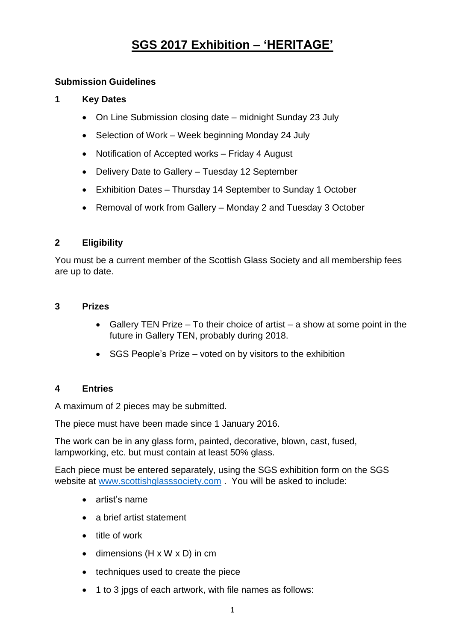# **SGS 2017 Exhibition – 'HERITAGE'**

### **Submission Guidelines**

### **1 Key Dates**

- On Line Submission closing date midnight Sunday 23 July
- Selection of Work Week beginning Monday 24 July
- Notification of Accepted works Friday 4 August
- Delivery Date to Gallery Tuesday 12 September
- Exhibition Dates Thursday 14 September to Sunday 1 October
- Removal of work from Gallery Monday 2 and Tuesday 3 October

### **2 Eligibility**

You must be a current member of the Scottish Glass Society and all membership fees are up to date.

### **3 Prizes**

- Gallery TEN Prize To their choice of artist a show at some point in the future in Gallery TEN, probably during 2018.
- SGS People's Prize voted on by visitors to the exhibition

### **4 Entries**

A maximum of 2 pieces may be submitted.

The piece must have been made since 1 January 2016.

The work can be in any glass form, painted, decorative, blown, cast, fused, lampworking, etc. but must contain at least 50% glass.

Each piece must be entered separately, using the SGS exhibition form on the SGS website at [www.scottishglasssociety.com](http://www.scottishglasssociety.com/) . You will be asked to include:

- artist's name
- a brief artist statement
- title of work
- $\bullet$  dimensions (H x W x D) in cm
- techniques used to create the piece
- 1 to 3 jpgs of each artwork, with file names as follows: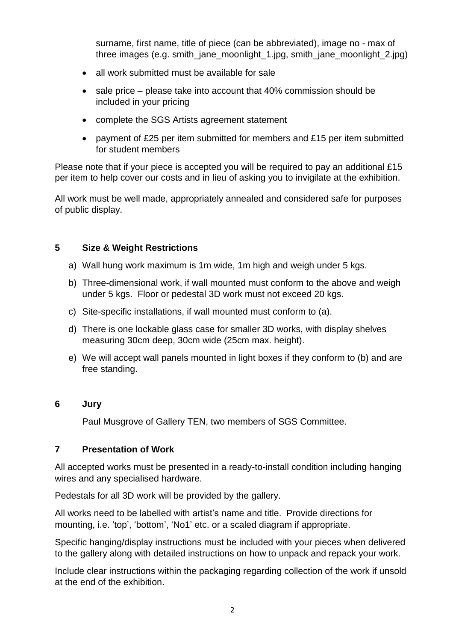surname, first name, title of piece (can be abbreviated), image no - max of three images (e.g. smith jane moonlight 1.jpg, smith jane moonlight 2.jpg)

- all work submitted must be available for sale
- $\bullet$  sale price please take into account that 40% commission should be included in your pricing
- complete the SGS Artists agreement statement
- payment of £25 per item submitted for members and £15 per item submitted for student members

Please note that if your piece is accepted you will be required to pay an additional £15 per item to help cover our costs and in lieu of asking you to invigilate at the exhibition.

All work must be well made, appropriately annealed and considered safe for purposes of public display.

#### **5 Size & Weight Restrictions**

- a) Wall hung work maximum is 1m wide, 1m high and weigh under 5 kgs.
- b) Three-dimensional work, if wall mounted must conform to the above and weigh under 5 kgs. Floor or pedestal 3D work must not exceed 20 kgs.
- c) Site-specific installations, if wall mounted must conform to (a).
- d) There is one lockable glass case for smaller 3D works, with display shelves measuring 30cm deep, 30cm wide (25cm max. height).
- e) We will accept wall panels mounted in light boxes if they conform to (b) and are free standing.

#### **6 Jury**

Paul Musgrove of Gallery TEN, two members of SGS Committee.

### **7 Presentation of Work**

All accepted works must be presented in a ready-to-install condition including hanging wires and any specialised hardware.

Pedestals for all 3D work will be provided by the gallery.

All works need to be labelled with artist's name and title. Provide directions for mounting, i.e. 'top', 'bottom', 'No1' etc. or a scaled diagram if appropriate.

Specific hanging/display instructions must be included with your pieces when delivered to the gallery along with detailed instructions on how to unpack and repack your work.

Include clear instructions within the packaging regarding collection of the work if unsold at the end of the exhibition.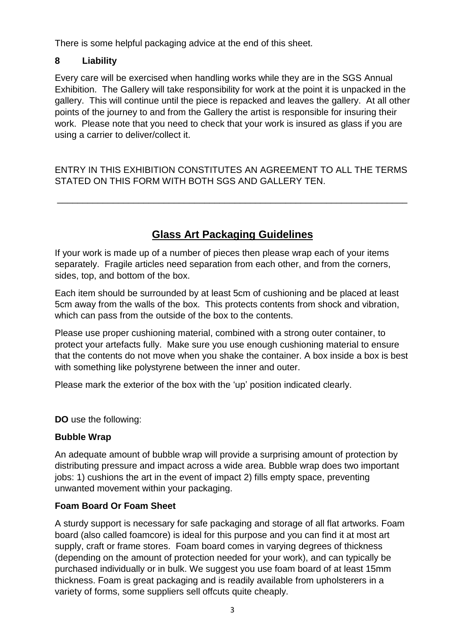There is some helpful packaging advice at the end of this sheet.

### **8 Liability**

Every care will be exercised when handling works while they are in the SGS Annual Exhibition. The Gallery will take responsibility for work at the point it is unpacked in the gallery. This will continue until the piece is repacked and leaves the gallery. At all other points of the journey to and from the Gallery the artist is responsible for insuring their work. Please note that you need to check that your work is insured as glass if you are using a carrier to deliver/collect it.

ENTRY IN THIS EXHIBITION CONSTITUTES AN AGREEMENT TO ALL THE TERMS STATED ON THIS FORM WITH BOTH SGS AND GALLERY TEN.

\_\_\_\_\_\_\_\_\_\_\_\_\_\_\_\_\_\_\_\_\_\_\_\_\_\_\_\_\_\_\_\_\_\_\_\_\_\_\_\_\_\_\_\_\_\_\_\_\_\_\_\_\_\_\_\_\_\_\_\_\_\_\_\_\_\_\_\_\_

## **Glass Art Packaging Guidelines**

If your work is made up of a number of pieces then please wrap each of your items separately. Fragile articles need separation from each other, and from the corners, sides, top, and bottom of the box.

Each item should be surrounded by at least 5cm of cushioning and be placed at least 5cm away from the walls of the box. This protects contents from shock and vibration, which can pass from the outside of the box to the contents.

Please use proper cushioning material, combined with a strong outer container, to protect your artefacts fully. Make sure you use enough cushioning material to ensure that the contents do not move when you shake the container. A box inside a box is best with something like polystyrene between the inner and outer.

Please mark the exterior of the box with the 'up' position indicated clearly.

**DO** use the following:

### **Bubble Wrap**

An adequate amount of bubble wrap will provide a surprising amount of protection by distributing pressure and impact across a wide area. Bubble wrap does two important jobs: 1) cushions the art in the event of impact 2) fills empty space, preventing unwanted movement within your packaging.

### **Foam Board Or Foam Sheet**

A sturdy support is necessary for safe packaging and storage of all flat artworks. Foam board (also called foamcore) is ideal for this purpose and you can find it at most art supply, craft or frame stores. Foam board comes in varying degrees of thickness (depending on the amount of protection needed for your work), and can typically be purchased individually or in bulk. We suggest you use foam board of at least 15mm thickness. Foam is great packaging and is readily available from upholsterers in a variety of forms, some suppliers sell offcuts quite cheaply.